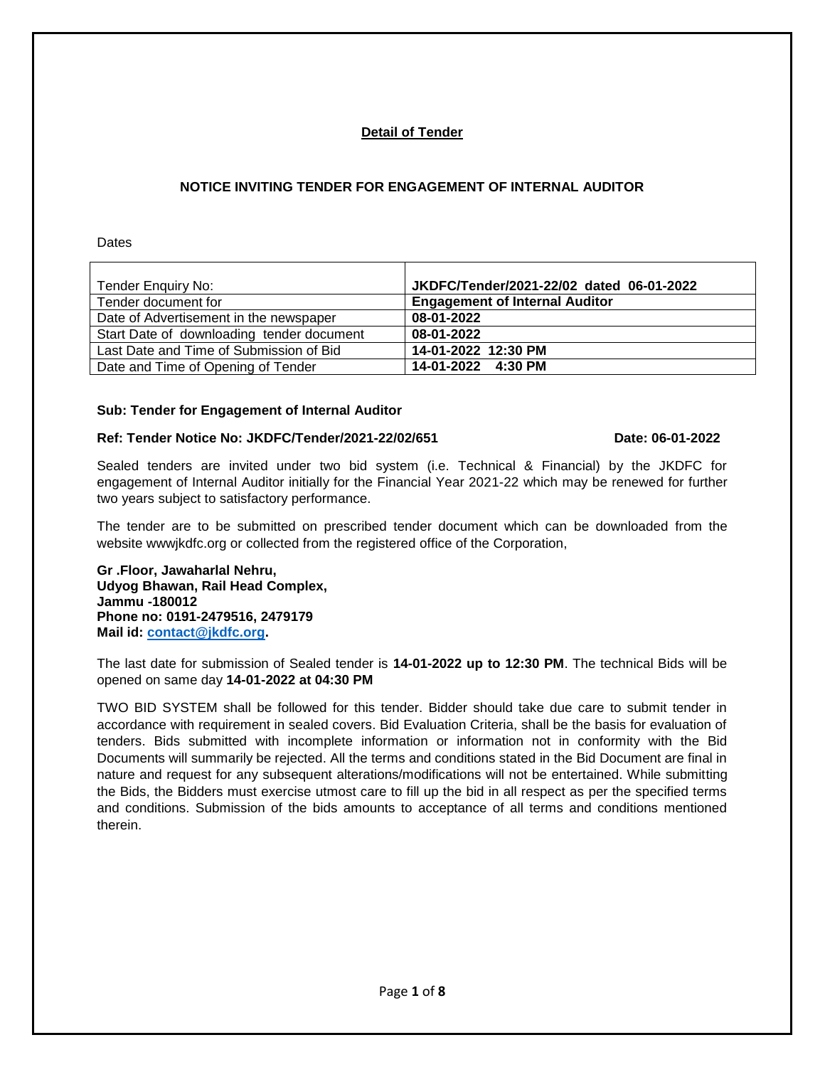## **Detail of Tender**

## **NOTICE INVITING TENDER FOR ENGAGEMENT OF INTERNAL AUDITOR**

**Dates** 

| Tender Enquiry No:                        | JKDFC/Tender/2021-22/02 dated 06-01-2022 |
|-------------------------------------------|------------------------------------------|
| Tender document for                       | <b>Engagement of Internal Auditor</b>    |
| Date of Advertisement in the newspaper    | 08-01-2022                               |
| Start Date of downloading tender document | 08-01-2022                               |
| Last Date and Time of Submission of Bid   | 14-01-2022 12:30 PM                      |
| Date and Time of Opening of Tender        | 14-01-2022 4:30 PM                       |

## **Sub: Tender for Engagement of Internal Auditor**

## **Ref: Tender Notice No: JKDFC/Tender/2021-22/02/651 Date: 06-01-2022**

Sealed tenders are invited under two bid system (i.e. Technical & Financial) by the JKDFC for engagement of Internal Auditor initially for the Financial Year 2021-22 which may be renewed for further two years subject to satisfactory performance.

The tender are to be submitted on prescribed tender document which can be downloaded from the website wwwjkdfc.org or collected from the registered office of the Corporation,

**Gr .Floor, Jawaharlal Nehru, Udyog Bhawan, Rail Head Complex, Jammu -180012 Phone no: 0191-2479516, 2479179 Mail id: [contact@jkdfc.org.](mailto:contact@jkdfc.org)**

The last date for submission of Sealed tender is **14-01-2022 up to 12:30 PM**. The technical Bids will be opened on same day **14-01-2022 at 04:30 PM**

TWO BID SYSTEM shall be followed for this tender. Bidder should take due care to submit tender in accordance with requirement in sealed covers. Bid Evaluation Criteria, shall be the basis for evaluation of tenders. Bids submitted with incomplete information or information not in conformity with the Bid Documents will summarily be rejected. All the terms and conditions stated in the Bid Document are final in nature and request for any subsequent alterations/modifications will not be entertained. While submitting the Bids, the Bidders must exercise utmost care to fill up the bid in all respect as per the specified terms and conditions. Submission of the bids amounts to acceptance of all terms and conditions mentioned therein.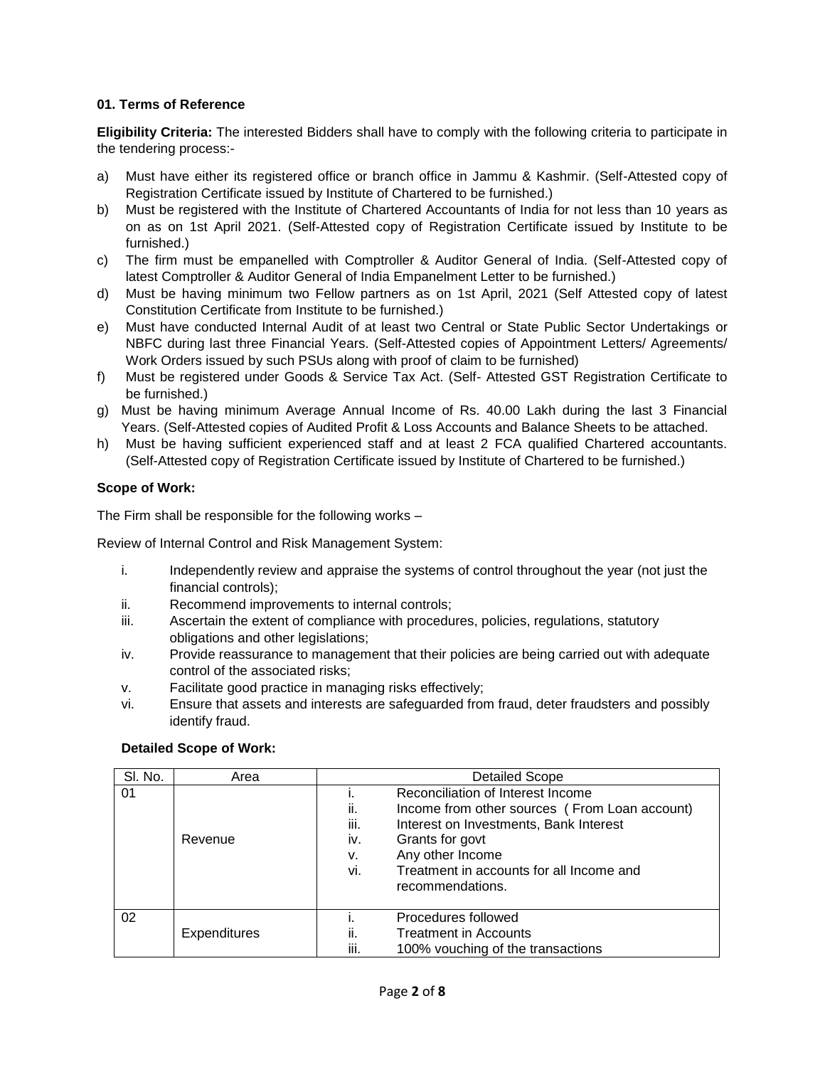## **01. Terms of Reference**

**Eligibility Criteria:** The interested Bidders shall have to comply with the following criteria to participate in the tendering process:-

- a) Must have either its registered office or branch office in Jammu & Kashmir. (Self-Attested copy of Registration Certificate issued by Institute of Chartered to be furnished.)
- b) Must be registered with the Institute of Chartered Accountants of India for not less than 10 years as on as on 1st April 2021. (Self-Attested copy of Registration Certificate issued by Institute to be furnished.)
- c) The firm must be empanelled with Comptroller & Auditor General of India. (Self-Attested copy of latest Comptroller & Auditor General of India Empanelment Letter to be furnished.)
- d) Must be having minimum two Fellow partners as on 1st April, 2021 (Self Attested copy of latest Constitution Certificate from Institute to be furnished.)
- e) Must have conducted Internal Audit of at least two Central or State Public Sector Undertakings or NBFC during last three Financial Years. (Self-Attested copies of Appointment Letters/ Agreements/ Work Orders issued by such PSUs along with proof of claim to be furnished)
- f) Must be registered under Goods & Service Tax Act. (Self- Attested GST Registration Certificate to be furnished.)
- g) Must be having minimum Average Annual Income of Rs. 40.00 Lakh during the last 3 Financial Years. (Self-Attested copies of Audited Profit & Loss Accounts and Balance Sheets to be attached.
- h) Must be having sufficient experienced staff and at least 2 FCA qualified Chartered accountants. (Self-Attested copy of Registration Certificate issued by Institute of Chartered to be furnished.)

## **Scope of Work:**

The Firm shall be responsible for the following works –

Review of Internal Control and Risk Management System:

- i. Independently review and appraise the systems of control throughout the year (not just the financial controls);
- ii. Recommend improvements to internal controls;
- iii. Ascertain the extent of compliance with procedures, policies, regulations, statutory obligations and other legislations;
- iv. Provide reassurance to management that their policies are being carried out with adequate control of the associated risks;
- v. Facilitate good practice in managing risks effectively;
- vi. Ensure that assets and interests are safeguarded from fraud, deter fraudsters and possibly identify fraud.

#### **Detailed Scope of Work:**

| SI. No. | Area                | <b>Detailed Scope</b>                                                                                                                                                                                                                                                  |  |
|---------|---------------------|------------------------------------------------------------------------------------------------------------------------------------------------------------------------------------------------------------------------------------------------------------------------|--|
| 01      | Revenue             | Reconciliation of Interest Income<br>ii.<br>Income from other sources (From Loan account)<br>iii.<br>Interest on Investments, Bank Interest<br>Grants for govt<br>iv.<br>Any other Income<br>ν.<br>Treatment in accounts for all Income and<br>vi.<br>recommendations. |  |
| 02      | <b>Expenditures</b> | Procedures followed<br><b>Treatment in Accounts</b><br>Îİ.<br>iii.<br>100% vouching of the transactions                                                                                                                                                                |  |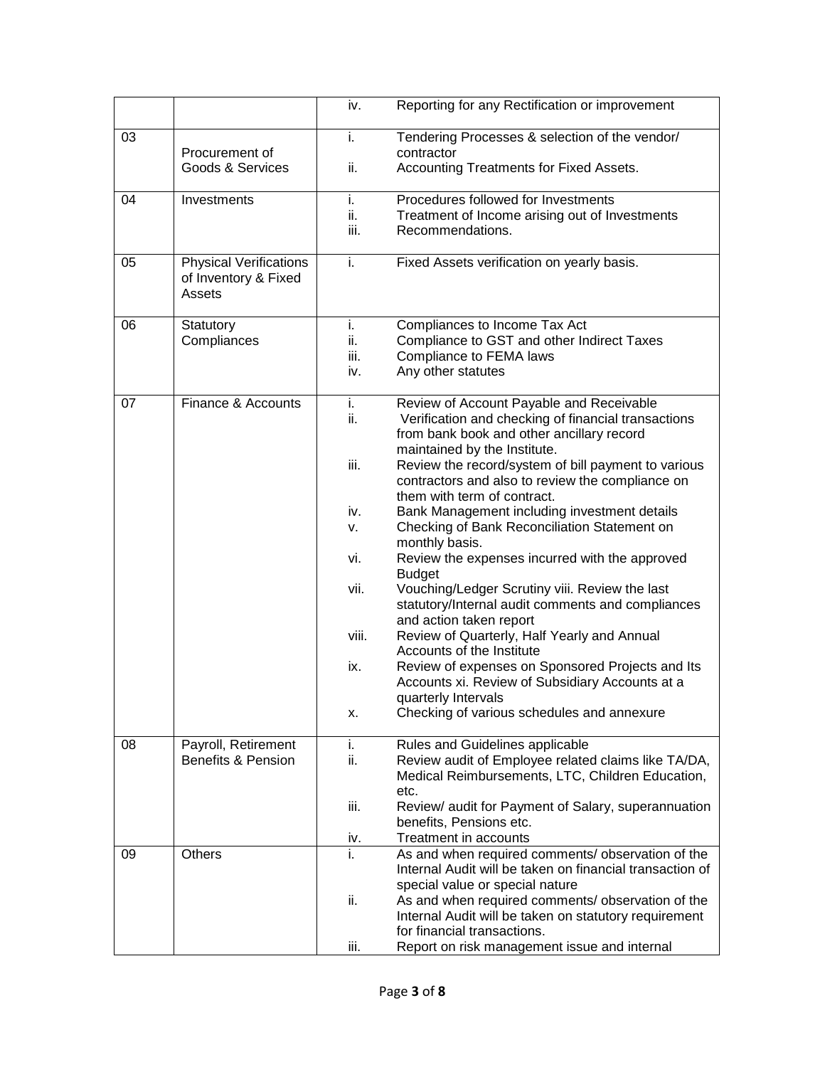|    |                                                                 | iv.                      | Reporting for any Rectification or improvement                                                                                                                               |
|----|-----------------------------------------------------------------|--------------------------|------------------------------------------------------------------------------------------------------------------------------------------------------------------------------|
| 03 | Procurement of<br>Goods & Services                              | i.<br>ii.                | Tendering Processes & selection of the vendor/<br>contractor<br>Accounting Treatments for Fixed Assets.                                                                      |
| 04 | Investments                                                     | i.<br>ii.<br>iii.        | Procedures followed for Investments<br>Treatment of Income arising out of Investments<br>Recommendations.                                                                    |
| 05 | <b>Physical Verifications</b><br>of Inventory & Fixed<br>Assets | i.                       | Fixed Assets verification on yearly basis.                                                                                                                                   |
| 06 | Statutory<br>Compliances                                        | i.<br>ii.<br>iii.<br>iv. | Compliances to Income Tax Act<br>Compliance to GST and other Indirect Taxes<br>Compliance to FEMA laws<br>Any other statutes                                                 |
| 07 | Finance & Accounts                                              | i.<br>ii.                | Review of Account Payable and Receivable<br>Verification and checking of financial transactions<br>from bank book and other ancillary record<br>maintained by the Institute. |
|    |                                                                 | iii.                     | Review the record/system of bill payment to various<br>contractors and also to review the compliance on<br>them with term of contract.                                       |
|    |                                                                 | iv.<br>v.                | Bank Management including investment details<br>Checking of Bank Reconciliation Statement on<br>monthly basis.                                                               |
|    |                                                                 | vi.                      | Review the expenses incurred with the approved<br><b>Budget</b>                                                                                                              |
|    |                                                                 | vii.                     | Vouching/Ledger Scrutiny viii. Review the last<br>statutory/Internal audit comments and compliances<br>and action taken report                                               |
|    |                                                                 | viii.                    | Review of Quarterly, Half Yearly and Annual<br>Accounts of the Institute                                                                                                     |
|    |                                                                 | ix.                      | Review of expenses on Sponsored Projects and Its<br>Accounts xi. Review of Subsidiary Accounts at a<br>quarterly Intervals                                                   |
|    |                                                                 | х.                       | Checking of various schedules and annexure                                                                                                                                   |
| 08 | Payroll, Retirement<br><b>Benefits &amp; Pension</b>            | i.<br>ii.                | Rules and Guidelines applicable<br>Review audit of Employee related claims like TA/DA,<br>Medical Reimbursements, LTC, Children Education,<br>etc.                           |
|    |                                                                 | iii.                     | Review/ audit for Payment of Salary, superannuation<br>benefits, Pensions etc.                                                                                               |
|    |                                                                 | iv.                      | Treatment in accounts                                                                                                                                                        |
| 09 | Others                                                          | i.                       | As and when required comments/ observation of the<br>Internal Audit will be taken on financial transaction of<br>special value or special nature                             |
|    |                                                                 | ii.                      | As and when required comments/ observation of the<br>Internal Audit will be taken on statutory requirement<br>for financial transactions.                                    |
|    |                                                                 | iii.                     | Report on risk management issue and internal                                                                                                                                 |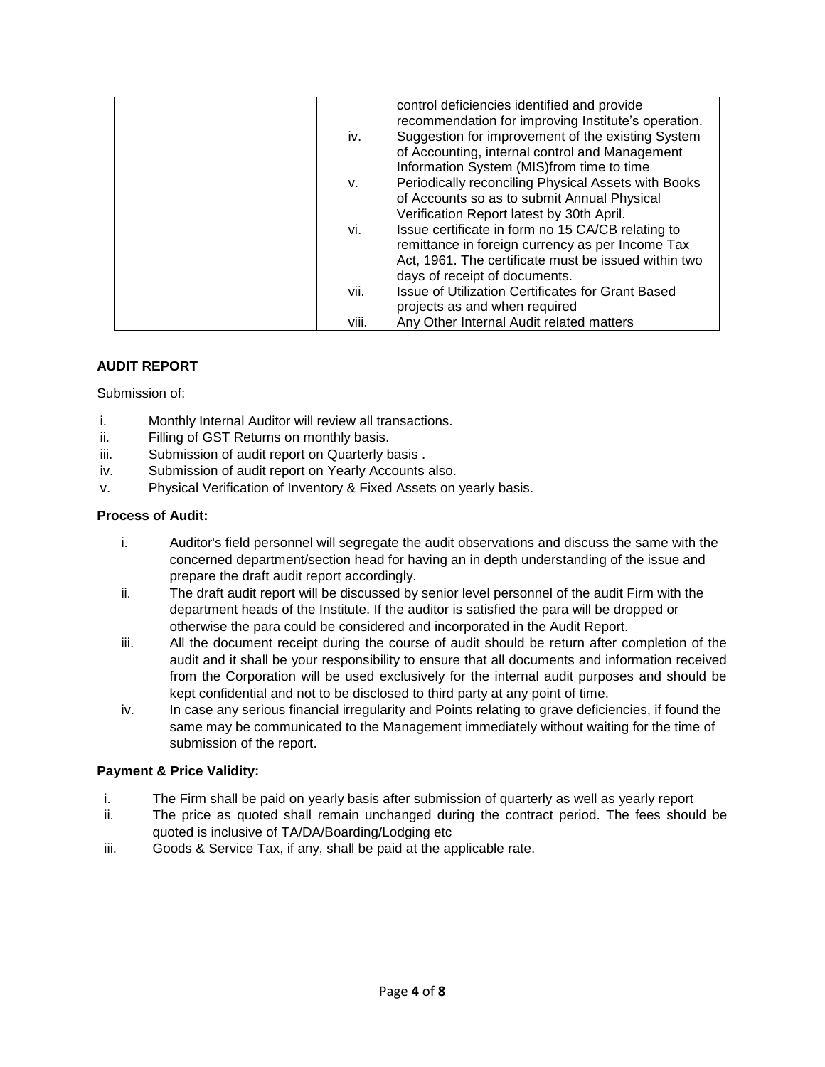|       | control deficiencies identified and provide<br>recommendation for improving Institute's operation. |
|-------|----------------------------------------------------------------------------------------------------|
| iv.   | Suggestion for improvement of the existing System                                                  |
|       | of Accounting, internal control and Management                                                     |
|       | Information System (MIS)from time to time                                                          |
| ۷.    | Periodically reconciling Physical Assets with Books                                                |
|       | of Accounts so as to submit Annual Physical                                                        |
|       | Verification Report latest by 30th April.                                                          |
| vi.   | Issue certificate in form no 15 CA/CB relating to                                                  |
|       | remittance in foreign currency as per Income Tax                                                   |
|       | Act, 1961. The certificate must be issued within two                                               |
|       | days of receipt of documents.                                                                      |
| vii.  | <b>Issue of Utilization Certificates for Grant Based</b>                                           |
|       | projects as and when required                                                                      |
| viii. | Any Other Internal Audit related matters                                                           |

## **AUDIT REPORT**

Submission of:

- i. Monthly Internal Auditor will review all transactions.
- ii. Filling of GST Returns on monthly basis.
- iii. Submission of audit report on Quarterly basis.
- iv. Submission of audit report on Yearly Accounts also.
- v. Physical Verification of Inventory & Fixed Assets on yearly basis.

## **Process of Audit:**

- i. Auditor's field personnel will segregate the audit observations and discuss the same with the concerned department/section head for having an in depth understanding of the issue and prepare the draft audit report accordingly.
- ii. The draft audit report will be discussed by senior level personnel of the audit Firm with the department heads of the Institute. If the auditor is satisfied the para will be dropped or otherwise the para could be considered and incorporated in the Audit Report.
- iii. All the document receipt during the course of audit should be return after completion of the audit and it shall be your responsibility to ensure that all documents and information received from the Corporation will be used exclusively for the internal audit purposes and should be kept confidential and not to be disclosed to third party at any point of time.
- iv. In case any serious financial irregularity and Points relating to grave deficiencies, if found the same may be communicated to the Management immediately without waiting for the time of submission of the report.

## **Payment & Price Validity:**

- i. The Firm shall be paid on yearly basis after submission of quarterly as well as yearly report
- ii. The price as quoted shall remain unchanged during the contract period. The fees should be quoted is inclusive of TA/DA/Boarding/Lodging etc
- iii. Goods & Service Tax, if any, shall be paid at the applicable rate.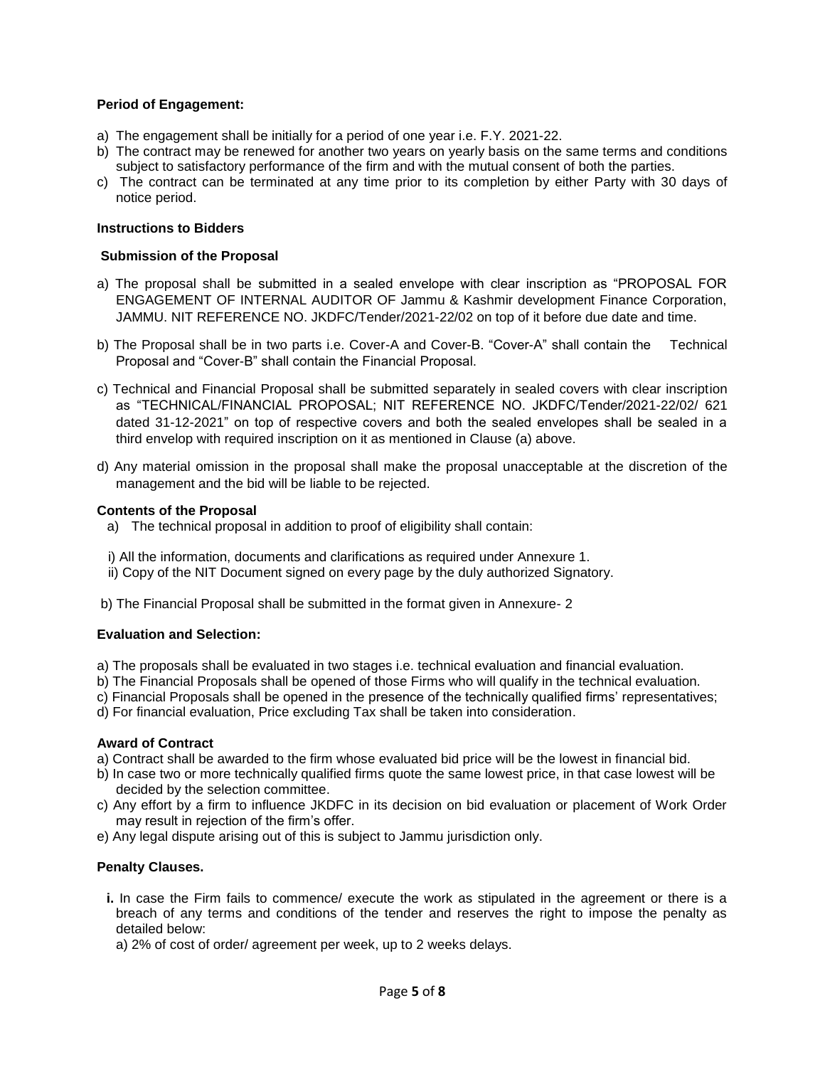## **Period of Engagement:**

- a) The engagement shall be initially for a period of one year i.e. F.Y. 2021-22.
- b) The contract may be renewed for another two years on yearly basis on the same terms and conditions subject to satisfactory performance of the firm and with the mutual consent of both the parties.
- c) The contract can be terminated at any time prior to its completion by either Party with 30 days of notice period.

#### **Instructions to Bidders**

#### **Submission of the Proposal**

- a) The proposal shall be submitted in a sealed envelope with clear inscription as "PROPOSAL FOR ENGAGEMENT OF INTERNAL AUDITOR OF Jammu & Kashmir development Finance Corporation, JAMMU. NIT REFERENCE NO. JKDFC/Tender/2021-22/02 on top of it before due date and time.
- b) The Proposal shall be in two parts i.e. Cover-A and Cover-B. "Cover-A" shall contain the Technical Proposal and "Cover-B" shall contain the Financial Proposal.
- c) Technical and Financial Proposal shall be submitted separately in sealed covers with clear inscription as "TECHNICAL/FINANCIAL PROPOSAL; NIT REFERENCE NO. JKDFC/Tender/2021-22/02/ 621 dated 31-12-2021" on top of respective covers and both the sealed envelopes shall be sealed in a third envelop with required inscription on it as mentioned in Clause (a) above.
- d) Any material omission in the proposal shall make the proposal unacceptable at the discretion of the management and the bid will be liable to be rejected.

#### **Contents of the Proposal**

- a) The technical proposal in addition to proof of eligibility shall contain:
- i) All the information, documents and clarifications as required under Annexure 1.
- ii) Copy of the NIT Document signed on every page by the duly authorized Signatory.
- b) The Financial Proposal shall be submitted in the format given in Annexure- 2

#### **Evaluation and Selection:**

- a) The proposals shall be evaluated in two stages i.e. technical evaluation and financial evaluation.
- b) The Financial Proposals shall be opened of those Firms who will qualify in the technical evaluation.
- c) Financial Proposals shall be opened in the presence of the technically qualified firms' representatives;
- d) For financial evaluation, Price excluding Tax shall be taken into consideration.

#### **Award of Contract**

- a) Contract shall be awarded to the firm whose evaluated bid price will be the lowest in financial bid.
- b) In case two or more technically qualified firms quote the same lowest price, in that case lowest will be decided by the selection committee.
- c) Any effort by a firm to influence JKDFC in its decision on bid evaluation or placement of Work Order may result in rejection of the firm's offer.
- e) Any legal dispute arising out of this is subject to Jammu jurisdiction only.

#### **Penalty Clauses.**

- **i.** In case the Firm fails to commence/ execute the work as stipulated in the agreement or there is a breach of any terms and conditions of the tender and reserves the right to impose the penalty as detailed below:
	- a) 2% of cost of order/ agreement per week, up to 2 weeks delays.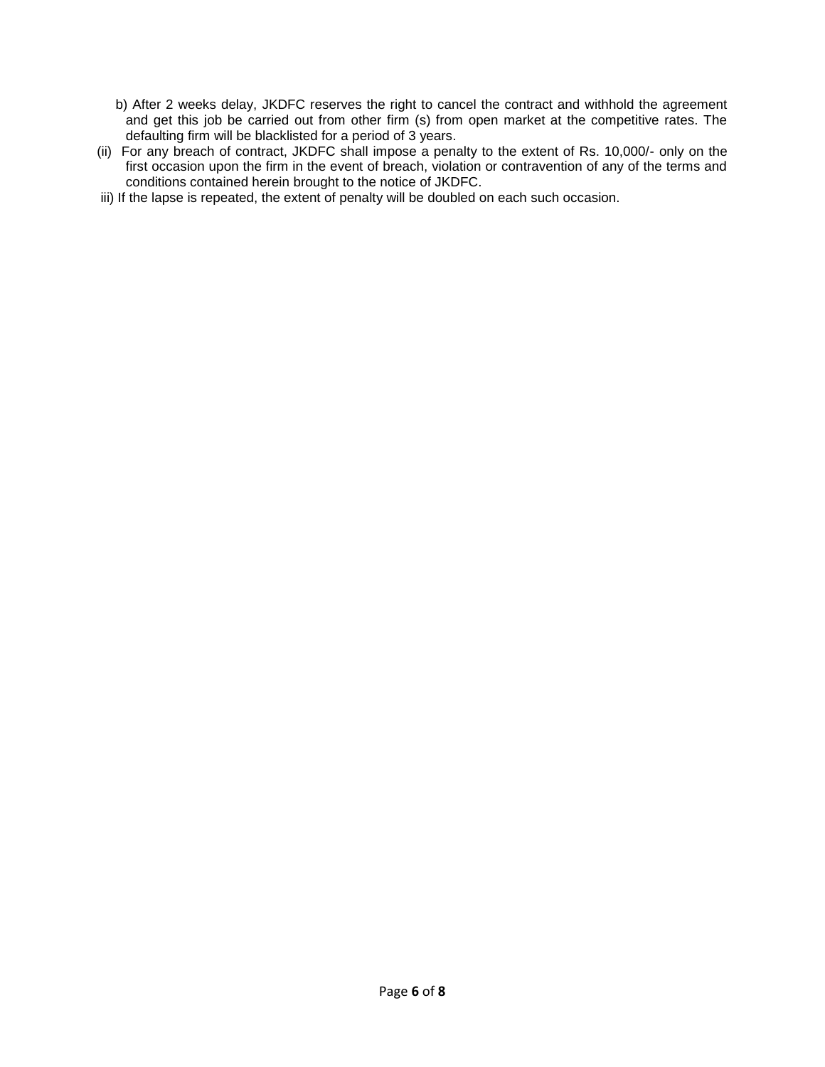- b) After 2 weeks delay, JKDFC reserves the right to cancel the contract and withhold the agreement and get this job be carried out from other firm (s) from open market at the competitive rates. The defaulting firm will be blacklisted for a period of 3 years.
- (ii) For any breach of contract, JKDFC shall impose a penalty to the extent of Rs. 10,000/- only on the first occasion upon the firm in the event of breach, violation or contravention of any of the terms and conditions contained herein brought to the notice of JKDFC.
- iii) If the lapse is repeated, the extent of penalty will be doubled on each such occasion.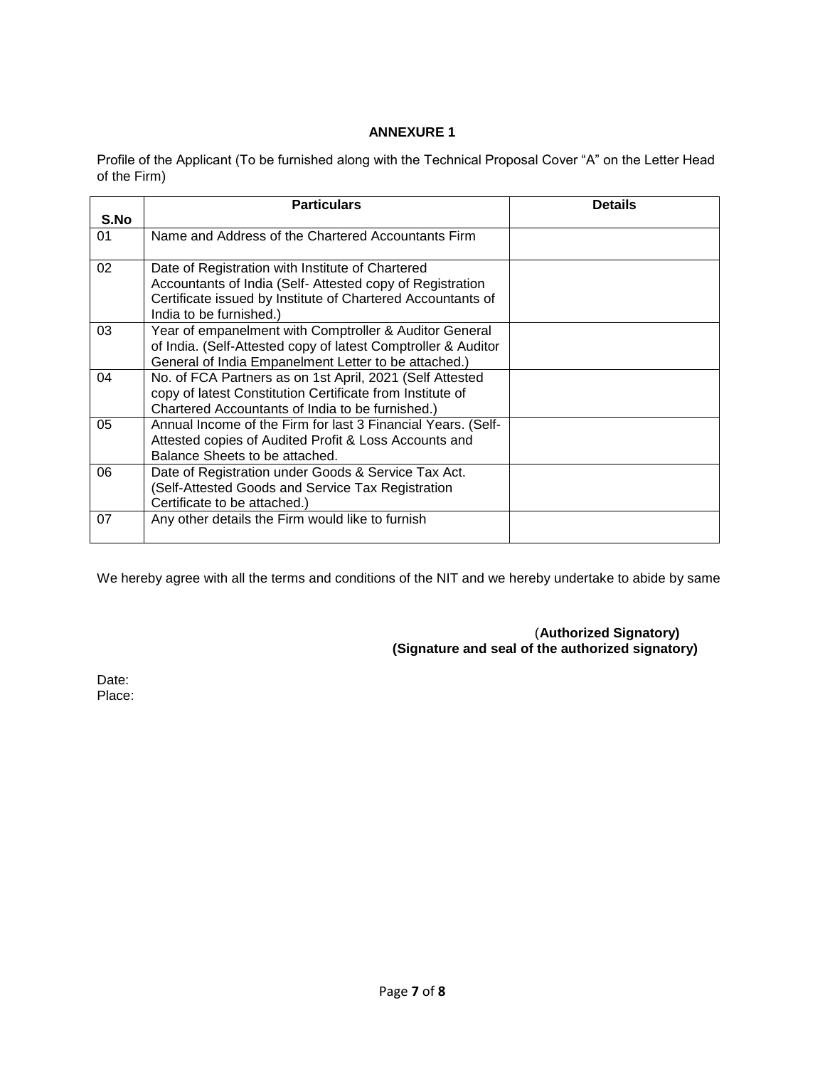## **ANNEXURE 1**

Profile of the Applicant (To be furnished along with the Technical Proposal Cover "A" on the Letter Head of the Firm)

|      | <b>Particulars</b>                                                                                                                                                                                      | <b>Details</b> |
|------|---------------------------------------------------------------------------------------------------------------------------------------------------------------------------------------------------------|----------------|
| S.No |                                                                                                                                                                                                         |                |
| 01   | Name and Address of the Chartered Accountants Firm                                                                                                                                                      |                |
| 02   | Date of Registration with Institute of Chartered<br>Accountants of India (Self- Attested copy of Registration<br>Certificate issued by Institute of Chartered Accountants of<br>India to be furnished.) |                |
| 03   | Year of empanelment with Comptroller & Auditor General<br>of India. (Self-Attested copy of latest Comptroller & Auditor<br>General of India Empanelment Letter to be attached.)                         |                |
| 04   | No. of FCA Partners as on 1st April, 2021 (Self Attested<br>copy of latest Constitution Certificate from Institute of<br>Chartered Accountants of India to be furnished.)                               |                |
| 05   | Annual Income of the Firm for last 3 Financial Years. (Self-<br>Attested copies of Audited Profit & Loss Accounts and<br>Balance Sheets to be attached.                                                 |                |
| 06   | Date of Registration under Goods & Service Tax Act.<br>(Self-Attested Goods and Service Tax Registration<br>Certificate to be attached.)                                                                |                |
| 07   | Any other details the Firm would like to furnish                                                                                                                                                        |                |

We hereby agree with all the terms and conditions of the NIT and we hereby undertake to abide by same

 (**Authorized Signatory) (Signature and seal of the authorized signatory)**

Date: Place: